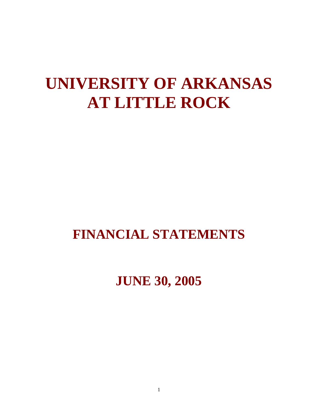# **UNIVERSITY OF ARKANSAS AT LITTLE ROCK**

# **FINANCIAL STATEMENTS**

# **JUNE 30, 2005**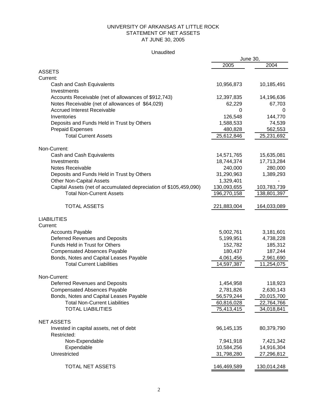#### UNIVERSITY OF ARKANSAS AT LITTLE ROCK STATEMENT OF NET ASSETS AT JUNE 30, 2005

|                                                                   | June 30,    |             |
|-------------------------------------------------------------------|-------------|-------------|
|                                                                   | 2005        | 2004        |
| <b>ASSETS</b>                                                     |             |             |
| Current:                                                          |             |             |
| Cash and Cash Equivalents<br>Investments                          | 10,956,873  | 10,185,491  |
| Accounts Receivable (net of allowances of \$912,743)              | 12,397,835  | 14,196,636  |
| Notes Receivable (net of allowances of \$64,029)                  | 62,229      | 67,703      |
| <b>Accrued Interest Receivable</b>                                | 0           | 0           |
| Inventories                                                       | 126,548     | 144,770     |
| Deposits and Funds Held in Trust by Others                        | 1,588,533   | 74,539      |
| <b>Prepaid Expenses</b>                                           | 480,828     | 562,553     |
| <b>Total Current Assets</b>                                       | 25,612,846  | 25,231,692  |
| Non-Current:                                                      |             |             |
| Cash and Cash Equivalents                                         | 14,571,765  | 15,635,081  |
| Investments                                                       | 18,744,374  | 17,713,284  |
| <b>Notes Receivable</b>                                           | 240,000     | 280,000     |
| Deposits and Funds Held in Trust by Others                        | 31,290,963  | 1,389,293   |
| <b>Other Non-Capital Assets</b>                                   | 1,329,401   |             |
| Capital Assets (net of accumulated depreciation of \$105,459,090) | 130,093,655 | 103,783,739 |
| <b>Total Non-Current Assets</b>                                   | 196,270,158 | 138,801,397 |
|                                                                   |             |             |
| <b>TOTAL ASSETS</b>                                               | 221,883,004 | 164,033,089 |
| <b>LIABILITIES</b>                                                |             |             |
| Current:                                                          |             |             |
| Accounts Payable                                                  | 5,002,761   | 3,181,601   |
| Deferred Revenues and Deposits                                    | 5,199,951   | 4,738,228   |
| Funds Held in Trust for Others                                    | 152,782     | 185,312     |
| <b>Compensated Absences Payable</b>                               | 180,437     | 187,244     |
| Bonds, Notes and Capital Leases Payable                           | 4,061,456   | 2,961,690   |
| <b>Total Current Liabilities</b>                                  | 14,597,387  | 11,254,075  |
| Non-Current:                                                      |             |             |
| Deferred Revenues and Deposits                                    | 1,454,958   | 118,923     |
| <b>Compensated Absences Payable</b>                               | 2,781,826   | 2,630,143   |
| Bonds, Notes and Capital Leases Payable                           | 56,579,244  | 20,015,700  |
| <b>Total Non-Current Liabilities</b>                              | 60,816,028  | 22,764,766  |
| <b>TOTAL LIABILITIES</b>                                          | 75,413,415  | 34,018,841  |
| <b>NET ASSETS</b>                                                 |             |             |
| Invested in capital assets, net of debt                           | 96,145,135  | 80,379,790  |
| Restricted:                                                       |             |             |
| Non-Expendable                                                    | 7,941,918   | 7,421,342   |
| Expendable                                                        | 10,584,256  | 14,916,304  |
| Unrestricted                                                      | 31,798,280  | 27,296,812  |
| TOTAL NET ASSETS                                                  | 146,469,589 | 130,014,248 |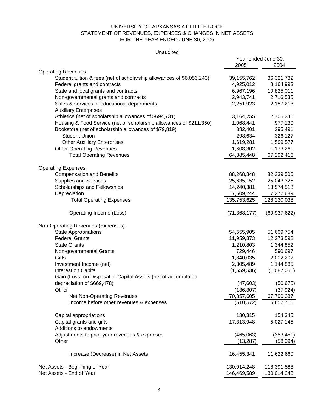#### UNIVERSITY OF ARKANSAS AT LITTLE ROCK STATEMENT OF REVENUES, EXPENSES & CHANGES IN NET ASSETS FOR THE YEAR ENDED JUNE 30, 2005

|                                                                                                                               | Year ended June 30,        |                            |
|-------------------------------------------------------------------------------------------------------------------------------|----------------------------|----------------------------|
|                                                                                                                               | 2005                       | 2004                       |
| <b>Operating Revenues:</b>                                                                                                    |                            |                            |
| Student tuition & fees (net of scholarship allowances of \$6,056,243)                                                         | 39, 155, 762               | 36,321,732                 |
| Federal grants and contracts                                                                                                  | 4,925,012                  | 8,164,993                  |
| State and local grants and contracts                                                                                          | 6,967,196                  | 10,825,011                 |
| Non-governmental grants and contracts                                                                                         | 2,943,741                  | 2,716,535                  |
| Sales & services of educational departments                                                                                   | 2,251,923                  | 2,187,213                  |
| <b>Auxiliary Enterprises</b>                                                                                                  |                            |                            |
| Athletics (net of scholarship allowances of \$694,731)<br>Housing & Food Service (net of scholarship allowances of \$211,350) | 3,164,755<br>1,068,441     | 2,705,346<br>977,130       |
| Bookstore (net of scholarship allowances of \$79,819)                                                                         | 382,401                    | 295,491                    |
| <b>Student Union</b>                                                                                                          | 298,634                    | 326,127                    |
| <b>Other Auxiliary Enterprises</b>                                                                                            | 1,619,281                  | 1,599,577                  |
| <b>Other Operating Revenues</b>                                                                                               | 1,608,302                  | 1,173,261                  |
| <b>Total Operating Revenues</b>                                                                                               | 64,385,448                 | 67,292,416                 |
|                                                                                                                               |                            |                            |
| <b>Operating Expenses:</b>                                                                                                    |                            |                            |
| <b>Compensation and Benefits</b>                                                                                              | 88,268,848                 | 82,339,506                 |
| <b>Supplies and Services</b>                                                                                                  | 25,635,152                 | 25,043,325                 |
| Scholarships and Fellowships                                                                                                  | 14,240,381                 | 13,574,518                 |
| Depreciation                                                                                                                  | 7,609,244                  | 7,272,689                  |
| <b>Total Operating Expenses</b>                                                                                               | 135,753,625                | 128,230,038                |
| Operating Income (Loss)                                                                                                       | (71, 368, 177)             | (60, 937, 622)             |
| Non-Operating Revenues (Expenses):                                                                                            |                            |                            |
| <b>State Appropriations</b>                                                                                                   | 54,555,905                 | 51,609,754                 |
| <b>Federal Grants</b>                                                                                                         | 11,959,373                 | 12,273,592                 |
| <b>State Grants</b>                                                                                                           | 1,210,803                  | 1,344,852                  |
| Non-governmental Grants                                                                                                       | 729,446                    | 590,697                    |
| Gifts                                                                                                                         | 1,840,035                  | 2,002,207                  |
| Investment Income (net)                                                                                                       | 2,305,489                  | 1,144,885                  |
| Interest on Capital                                                                                                           | (1,559,536)                | (1,087,051)                |
| Gain (Loss) on Disposal of Capital Assets (net of accumulated                                                                 |                            |                            |
| depreciation of \$669,478)                                                                                                    | (47, 603)                  | (50, 675)                  |
| Other                                                                                                                         | (136, 307)                 | (37, 924)                  |
| Net Non-Operating Revenues                                                                                                    | 70,857,605                 | 67,790,337                 |
| Income before other revenues & expenses                                                                                       | (510, 572)                 | 6,852,715                  |
| Capital appropriations                                                                                                        | 130,315                    | 154,345                    |
| Capital grants and gifts                                                                                                      | 17,313,948                 | 5,027,145                  |
| Additions to endowments                                                                                                       |                            |                            |
| Adjustments to prior year revenues & expenses                                                                                 | (465,063)                  | (353, 451)                 |
| Other                                                                                                                         | (13, 287)                  | (58,094)                   |
| Increase (Decrease) in Net Assets                                                                                             | 16,455,341                 | 11,622,660                 |
| Net Assets - Beginning of Year                                                                                                |                            |                            |
| Net Assets - End of Year                                                                                                      | 130,014,248<br>146,469,589 | 118,391,588<br>130,014,248 |
|                                                                                                                               |                            |                            |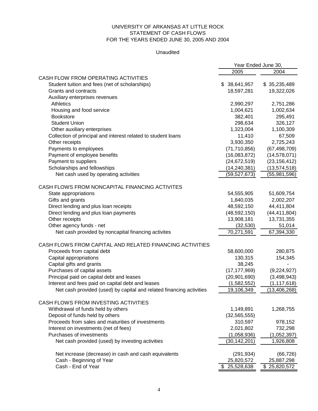#### UNIVERSITY OF ARKANSAS AT LITTLE ROCK STATEMENT OF CASH FLOWS FOR THE YEARS ENDED JUNE 30, 2005 AND 2004

|                                                                      | Year Ended June 30, |                |
|----------------------------------------------------------------------|---------------------|----------------|
|                                                                      | 2005                | 2004           |
| CASH FLOW FROM OPERATING ACTIVITIES                                  |                     |                |
| Student tuition and fees (net of scholarships)                       | \$38,641,957        | \$35,235,489   |
| Grants and contracts                                                 | 18,597,281          | 19,322,026     |
| Auxiliary enterprises revenues                                       |                     |                |
| <b>Athletics</b>                                                     | 2,990,297           | 2,751,286      |
| Housing and food service                                             | 1,004,621           | 1,002,634      |
| <b>Bookstore</b>                                                     | 382,401             | 295,491        |
| <b>Student Union</b>                                                 | 298,634             | 326,127        |
| Other auxiliary enterprises                                          | 1,323,004           | 1,100,309      |
| Collection of principal and interest related to student loans        | 11,410              | 67,509         |
| Other receipts                                                       | 3,930,350           | 2,725,243      |
| Payments to employees                                                | (71, 710, 856)      | (67, 498, 709) |
| Payment of employee benefits                                         | (16,083,872)        | (14, 578, 071) |
| Payment to suppliers                                                 | (24, 672, 519)      | (23, 156, 412) |
| Scholarships and fellowships                                         | (14, 240, 381)      | (13, 574, 518) |
| Net cash used by operating activities                                | (59, 527, 673)      | (55,981,596)   |
| CASH FLOWS FROM NONCAPITAL FINANCING ACTIVITES                       |                     |                |
| State appropriations                                                 | 54,555,905          | 51,609,754     |
| Gifts and grants                                                     | 1,840,035           | 2,002,207      |
| Direct lending and plus loan receipts                                | 48,592,150          | 44,411,804     |
| Direct lending and plus loan payments                                | (48, 592, 150)      | (44, 411, 804) |
| Other receipts                                                       | 13,908,181          | 13,731,355     |
| Other agency funds - net                                             | (32, 530)           | 51,014         |
| Net cash provided by noncapital financing activites                  | 70,271,591          | 67,394,330     |
|                                                                      |                     |                |
| CASH FLOWS FROM CAPITAL AND RELATED FINANCING ACTIVITIES             |                     |                |
| Proceeds from capital debt                                           | 58,600,000          | 280,875        |
| Capital appropriations                                               | 130,315             | 154,345        |
| Capital gifts and grants                                             | 38,245              |                |
| Purchases of capital assets                                          | (17, 177, 969)      | (9,224,927)    |
| Principal paid on capital debt and leases                            | (20, 901, 690)      | (3,498,943)    |
| Interest and fees paid on capital debt and leases                    | (1,582,552)         | (1, 117, 618)  |
| Net cash provided (used) by capital and related financing activities | 19,106,349          | (13, 406, 268) |
| CASH FLOWS FROM INVESTING ACTIVITIES                                 |                     |                |
| Withdrawal of funds held by others                                   | 1,149,891           | 1,268,755      |
| Deposit of funds held by others                                      | (32, 565, 555)      |                |
| Proceeds from sales and maturities of investments                    | 310,597             | 978,152        |
| Interest on investments (net of fees)                                | 2,021,802           | 732,298        |
| Purchases of investments                                             | (1,058,936)         | (1,052,397)    |
| Net cash provided (used) by investing activities                     | (30,142,201)        | 1,926,808      |
|                                                                      |                     |                |
| Net increase (decrease) in cash and cash equivalents                 | (291, 934)          | (66, 726)      |
| Cash - Beginning of Year                                             | 25,820,572          | 25,887,298     |
| Cash - End of Year                                                   | \$25,528,638        | \$25,820,572   |
|                                                                      |                     |                |